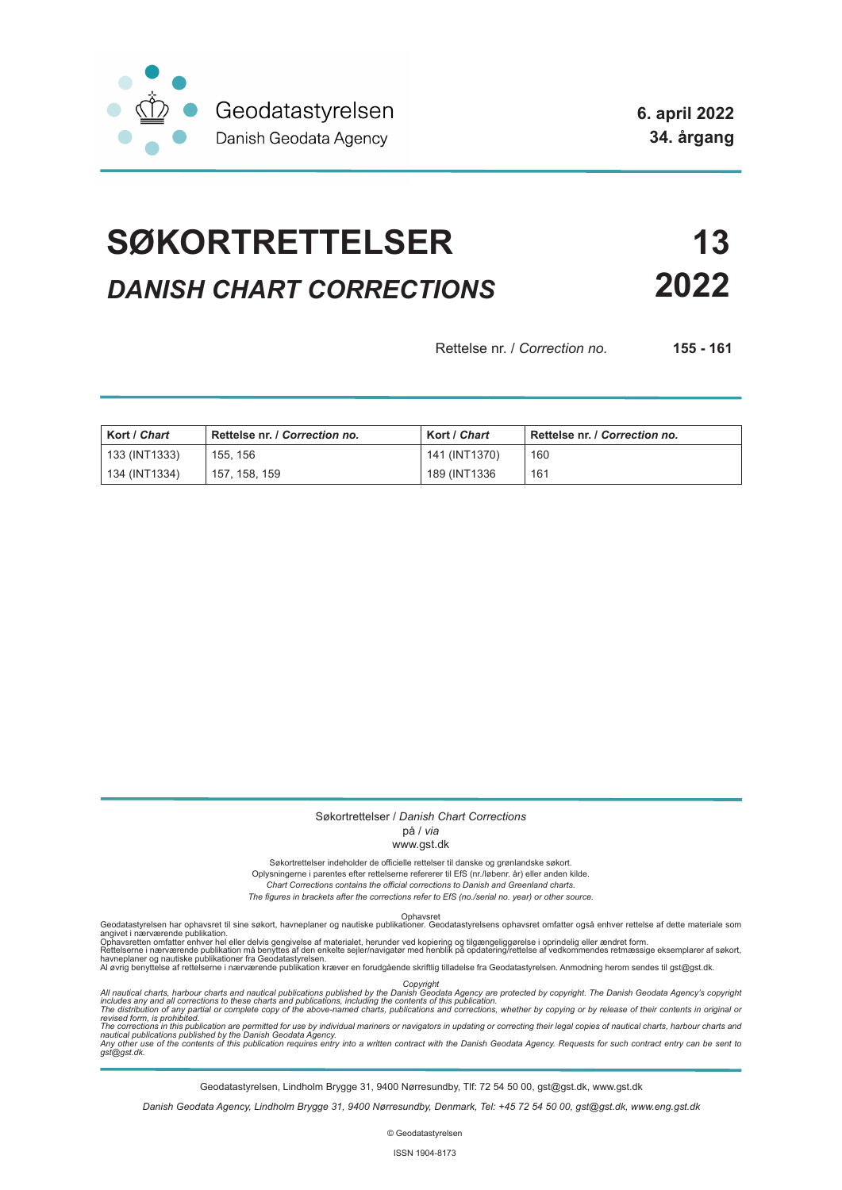

# **SØKORTRETTELSER 13** *DANISH CHART CORRECTIONS* **2022**

Rettelse nr. / *Correction no.* **155 - 161**

| Kort / Chart  | Rettelse nr. / Correction no. | Kort / Chart  | Rettelse nr. / Correction no. |
|---------------|-------------------------------|---------------|-------------------------------|
| 133 (INT1333) | 155, 156                      | 141 (INT1370) | 160                           |
| 134 (INT1334) | 157, 158, 159                 | 189 (INT1336) | 161                           |

### Søkortrettelser / *Danish Chart Corrections*

### på / *via*

#### www.gst.dk

Søkortrettelser indeholder de officielle rettelser til danske og grønlandske søkort.

Oplysningerne i parentes efter rettelserne refererer til EfS (nr./løbenr. år) eller anden kilde. *Chart Corrections contains the official corrections to Danish and Greenland charts.* 

*The figures in brackets after the corrections refer to EfS (no./serial no. year) or other source.*

Ophavsret Geodatastyrelsen har ophavsret til sine søkort, havneplaner og nautiske publikationer. Geodatastyrelsens ophavsret omfatter også enhver rettelse af dette materiale som

angivet i nærværende publikation.<br>Ophavsretten omfatter enhver hel eller delvis gengivelse af materialet, herunder ved kopiering og tilgængeliggørelse i oprindelig eller ændret form.<br>Rettelserne i nærværende publikation må

Copyright<br>includes any and all corrections to these charts and publications published by the Danish Agency are protected by copyright. The Danish Geodata Agency's copyright<br>includes any and all corrections to these charts

Geodatastyrelsen, Lindholm Brygge 31, 9400 Nørresundby, Tlf: 72 54 50 00, gst@gst.dk, www.gst.dk

*Danish Geodata Agency, Lindholm Brygge 31, 9400 Nørresundby, Denmark, Tel: +45 72 54 50 00, gst@gst.dk, www.eng.gst.dk*

© Geodatastyrelsen

ISSN 1904-8173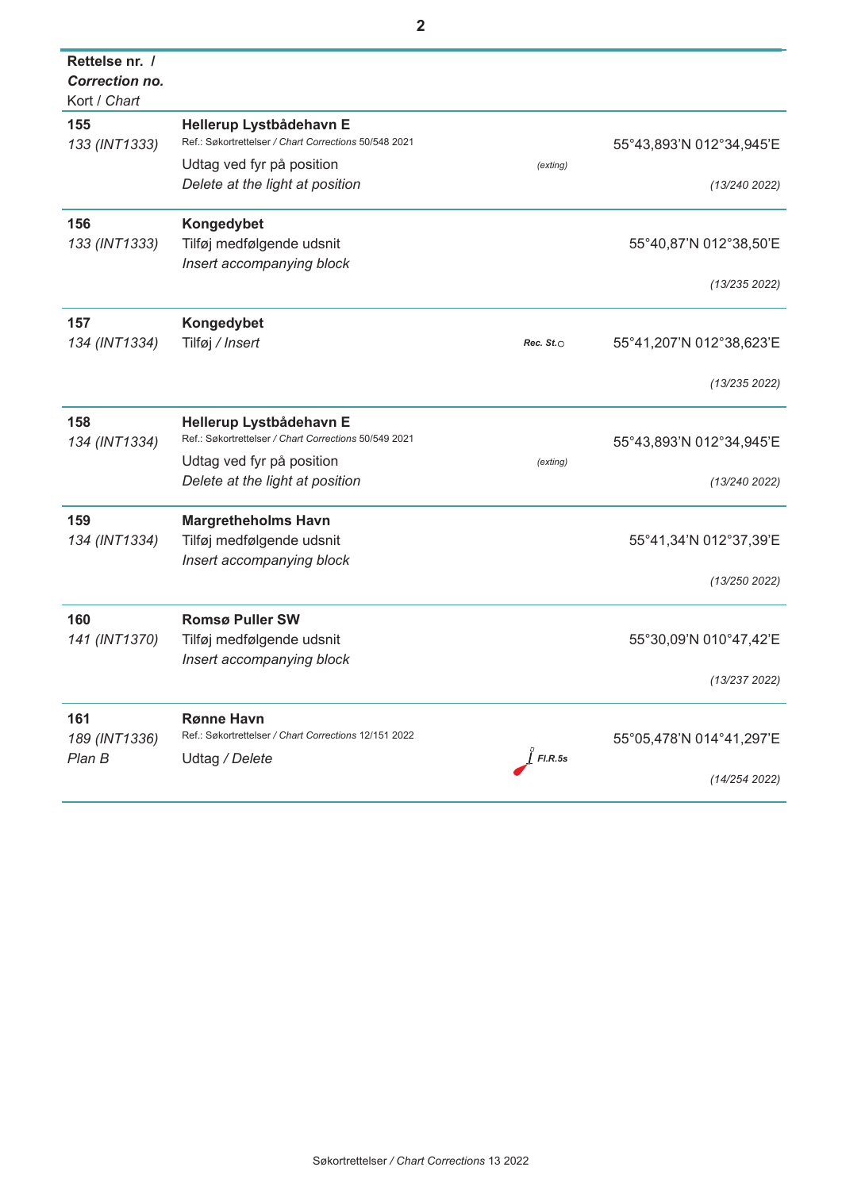| Rettelse nr. /<br><b>Correction no.</b><br>Kort / Chart |                                                                                  |                  |                          |
|---------------------------------------------------------|----------------------------------------------------------------------------------|------------------|--------------------------|
| 155<br>133 (INT1333)                                    | Hellerup Lystbådehavn E<br>Ref.: Søkortrettelser / Chart Corrections 50/548 2021 |                  | 55°43,893'N 012°34,945'E |
|                                                         | Udtag ved fyr på position<br>Delete at the light at position                     | (exting)         | (13/240 2022)            |
| 156                                                     | Kongedybet                                                                       |                  |                          |
| 133 (INT1333)                                           | Tilføj medfølgende udsnit                                                        |                  | 55°40,87'N 012°38,50'E   |
|                                                         | Insert accompanying block                                                        |                  | (13/235 2022)            |
| 157                                                     | Kongedybet                                                                       |                  |                          |
| 134 (INT1334)                                           | Tilføj / Insert                                                                  | Rec. $St. \circ$ | 55°41,207'N 012°38,623'E |
|                                                         |                                                                                  |                  | (13/235 2022)            |
| 158                                                     | Hellerup Lystbådehavn E<br>Ref.: Søkortrettelser / Chart Corrections 50/549 2021 |                  |                          |
| 134 (INT1334)                                           | Udtag ved fyr på position                                                        | (exting)         | 55°43,893'N 012°34,945'E |
|                                                         | Delete at the light at position                                                  |                  | (13/240 2022)            |
| 159                                                     | <b>Margretheholms Havn</b>                                                       |                  |                          |
| 134 (INT1334)                                           | Tilføj medfølgende udsnit                                                        |                  | 55°41,34'N 012°37,39'E   |
|                                                         | Insert accompanying block                                                        |                  | (13/250 2022)            |
| 160                                                     | <b>Romsø Puller SW</b>                                                           |                  |                          |
| 141 (INT1370)                                           | Tilføj medfølgende udsnit                                                        |                  | 55°30,09'N 010°47,42'E   |
|                                                         | Insert accompanying block                                                        |                  | (13/237 2022)            |
|                                                         |                                                                                  |                  |                          |
| 161                                                     | <b>Rønne Havn</b><br>Ref.: Søkortrettelser / Chart Corrections 12/151 2022       |                  |                          |
| 189 (INT1336)<br>Plan B                                 | Udtag / Delete                                                                   | $\int$ FI.R.5s   | 55°05,478'N 014°41,297'E |
|                                                         |                                                                                  |                  | (14/254 2022)            |

j.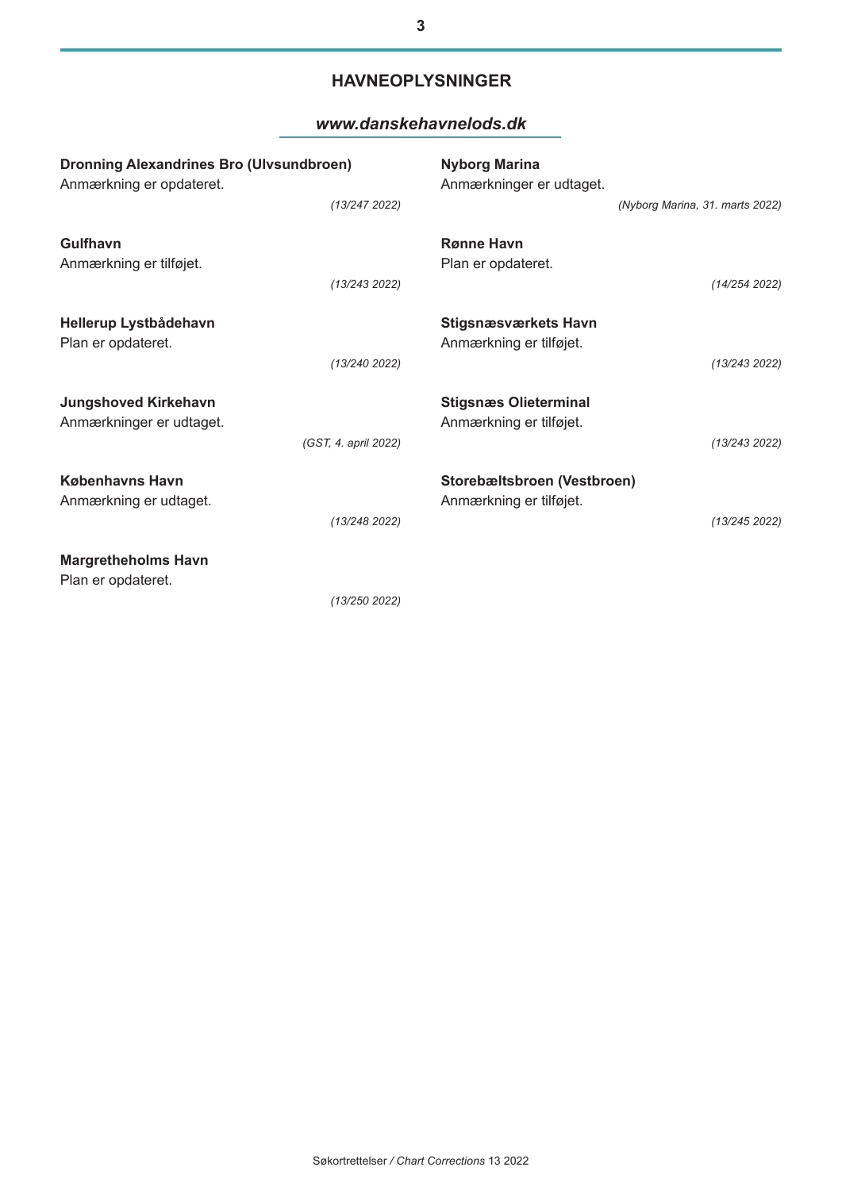# **HAVNEOPLYSNINGER**

## *www.danskehavnelods.dk*

| <b>Dronning Alexandrines Bro (Ulvsundbroen)</b><br>Anmærkning er opdateret. |                      | <b>Nyborg Marina</b><br>Anmærkninger er udtaget.                        |  |
|-----------------------------------------------------------------------------|----------------------|-------------------------------------------------------------------------|--|
|                                                                             | (13/247 2022)        | (Nyborg Marina, 31. marts 2022)                                         |  |
| <b>Gulfhavn</b><br>Anmærkning er tilføjet.                                  |                      | <b>Rønne Havn</b><br>Plan er opdateret.                                 |  |
|                                                                             | (13/243 2022)        | (14/254 2022)                                                           |  |
| Hellerup Lystbådehavn<br>Plan er opdateret.                                 |                      | <b>Stigsnæsværkets Havn</b><br>Anmærkning er tilføjet.                  |  |
|                                                                             | (13/240 2022)        | (13/243 2022)                                                           |  |
| <b>Jungshoved Kirkehavn</b><br>Anmærkninger er udtaget.                     |                      | <b>Stigsnæs Olieterminal</b><br>Anmærkning er tilføjet.                 |  |
|                                                                             | (GST, 4. april 2022) | (13/243 2022)                                                           |  |
| <b>Københavns Havn</b><br>Anmærkning er udtaget.                            | (13/248 2022)        | Storebæltsbroen (Vestbroen)<br>Anmærkning er tilføjet.<br>(13/245 2022) |  |
| <b>Margretheholms Havn</b><br>Plan er opdateret.                            |                      |                                                                         |  |

*(13/250 2022)*